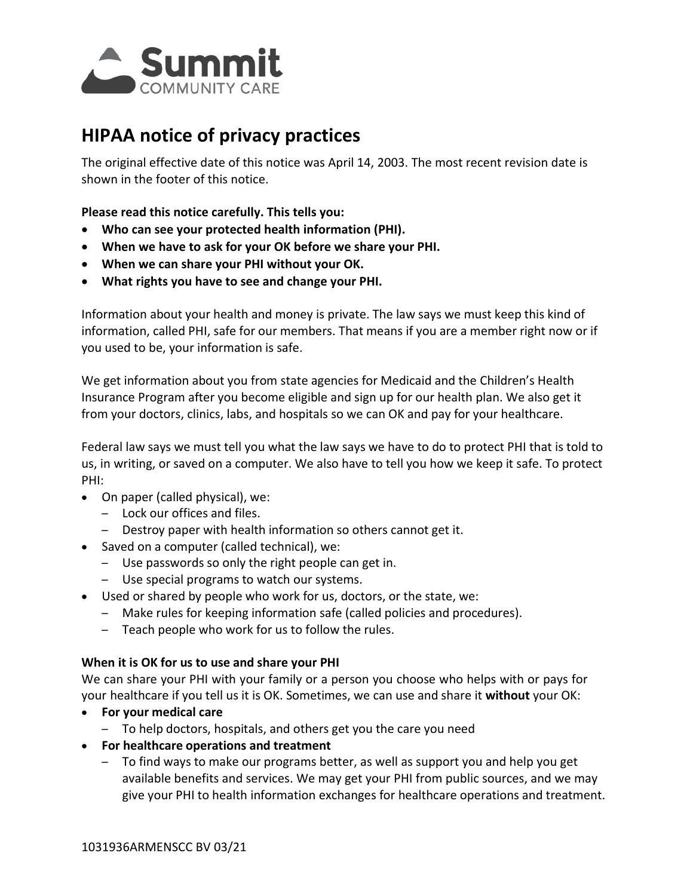

# **HIPAA notice of privacy practices**

The original effective date of this notice was April 14, 2003. The most recent revision date is shown in the footer of this notice.

**Please read this notice carefully. This tells you:** 

- **Who can see your protected health information (PHI).**
- **When we have to ask for your OK before we share your PHI.**
- **When we can share your PHI without your OK.**
- **What rights you have to see and change your PHI.**

 Information about your health and money is private. The law says we must keep this kind of information, called PHI, safe for our members. That means if you are a member right now or if you used to be, your information is safe.

We get information about you from state agencies for Medicaid and the Children's Health Insurance Program after you become eligible and sign up for our health plan. We also get it from your doctors, clinics, labs, and hospitals so we can OK and pay for your healthcare.

 us, in writing, or saved on a computer. We also have to tell you how we keep it safe. To protect Federal law says we must tell you what the law says we have to do to protect PHI that is told to PHI:

- On paper (called physical), we:
	- Lock our offices and files.
	- Destroy paper with health information so others cannot get it.
- Saved on a computer (called technical), we:
	- Use passwords so only the right people can get in.
	- Use special programs to watch our systems.
- Used or shared by people who work for us, doctors, or the state, we:
	- – Make rules for keeping information safe (called policies and procedures).
	- – Teach people who work for us to follow the rules.

#### **When it is OK for us to use and share your PHI**

 We can share your PHI with your family or a person you choose who helps with or pays for your healthcare if you tell us it is OK. Sometimes, we can use and share it **without** your OK:

- **For your medical care**
	- To help doctors, hospitals, and others get you the care you need
- **For healthcare operations and treatment**
	- To find ways to make our programs better, as well as support you and help you get available benefits and services. We may get your PHI from public sources, and we may give your PHI to health information exchanges for healthcare operations and treatment.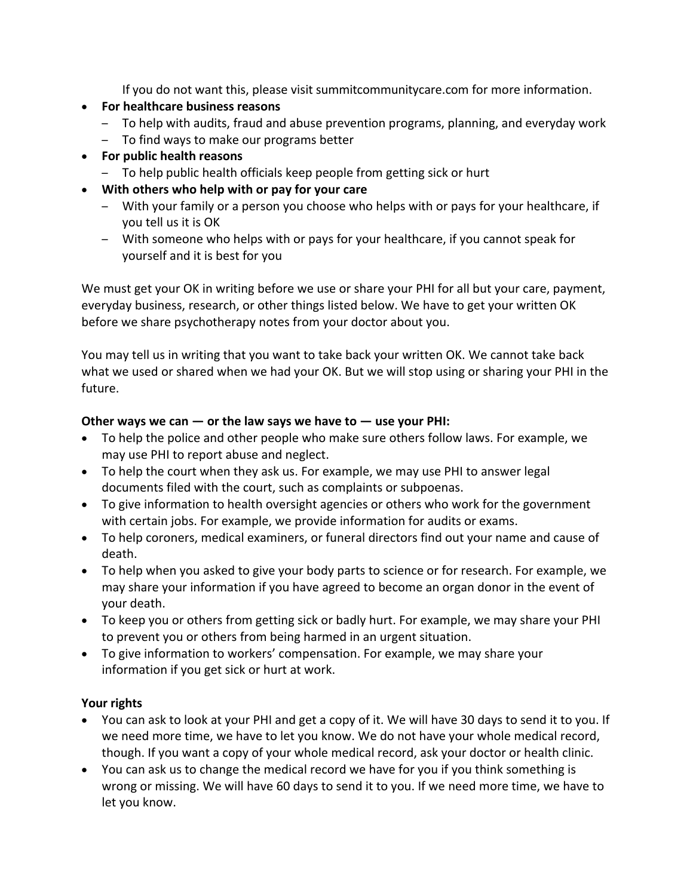If you do not want this, please visit [summitcommunitycare.com](http://summitcommunitycare.com) for more information.

- **For healthcare business reasons**
	- To help with audits, fraud and abuse prevention programs, planning, and everyday work
	- To find ways to make our programs better
- **For public health reasons**
	- To help public health officials keep people from getting sick or hurt
- **With others who help with or pay for your care** 
	- – With your family or a person you choose who helps with or pays for your healthcare, if you tell us it is OK
	- – With someone who helps with or pays for your healthcare, if you cannot speak for yourself and it is best for you

We must get your OK in writing before we use or share your PHI for all but your care, payment, everyday business, research, or other things listed below. We have to get your written OK before we share psychotherapy notes from your doctor about you.

You may tell us in writing that you want to take back your written OK. We cannot take back what we used or shared when we had your OK. But we will stop using or sharing your PHI in the future.

### **Other ways we can — or the law says we have to — use your PHI:**

- To help the police and other people who make sure others follow laws. For example, we may use PHI to report abuse and neglect.
- To help the court when they ask us. For example, we may use PHI to answer legal documents filed with the court, such as complaints or subpoenas.
- To give information to health oversight agencies or others who work for the government with certain jobs. For example, we provide information for audits or exams.
- To help coroners, medical examiners, or funeral directors find out your name and cause of death.
- To help when you asked to give your body parts to science or for research. For example, we may share your information if you have agreed to become an organ donor in the event of your death.
- To keep you or others from getting sick or badly hurt. For example, we may share your PHI to prevent you or others from being harmed in an urgent situation.
- To give information to workers' compensation. For example, we may share your information if you get sick or hurt at work.

# **Your rights**

- You can ask to look at your PHI and get a copy of it. We will have 30 days to send it to you. If we need more time, we have to let you know. We do not have your whole medical record, though. If you want a copy of your whole medical record, ask your doctor or health clinic.
- You can ask us to change the medical record we have for you if you think something is wrong or missing. We will have 60 days to send it to you. If we need more time, we have to let you know.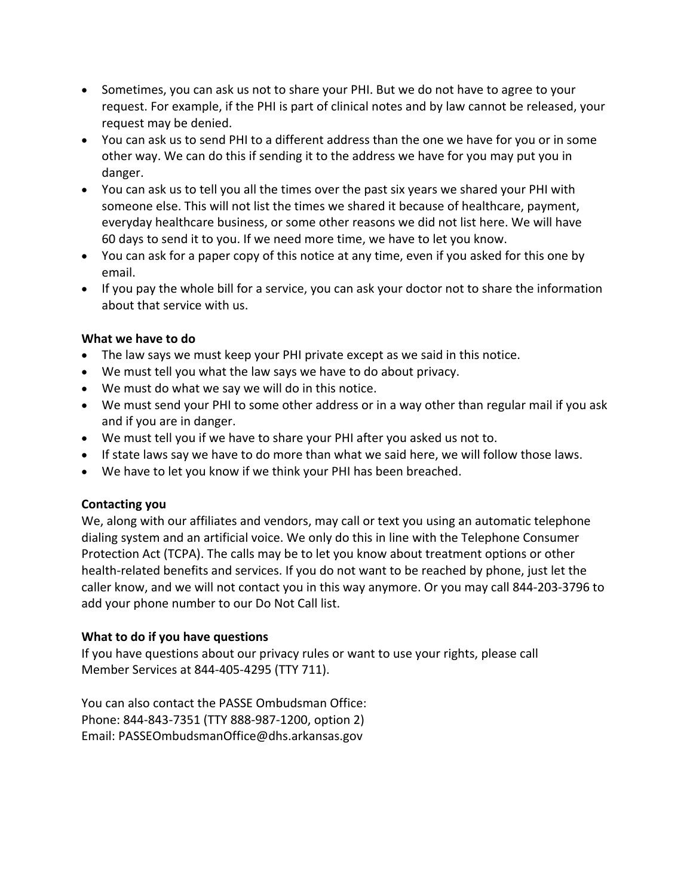- Sometimes, you can ask us not to share your PHI. But we do not have to agree to your request. For example, if the PHI is part of clinical notes and by law cannot be released, your request may be denied.
- You can ask us to send PHI to a different address than the one we have for you or in some other way. We can do this if sending it to the address we have for you may put you in danger.
- You can ask us to tell you all the times over the past six years we shared your PHI with someone else. This will not list the times we shared it because of healthcare, payment, everyday healthcare business, or some other reasons we did not list here. We will have 60 days to send it to you. If we need more time, we have to let you know.
- You can ask for a paper copy of this notice at any time, even if you asked for this one by email.
- If you pay the whole bill for a service, you can ask your doctor not to share the information about that service with us.

### **What we have to do**

- The law says we must keep your PHI private except as we said in this notice.
- We must tell you what the law says we have to do about privacy.
- We must do what we say we will do in this notice.
- We must send your PHI to some other address or in a way other than regular mail if you ask and if you are in danger.
- We must tell you if we have to share your PHI after you asked us not to.
- If state laws say we have to do more than what we said here, we will follow those laws.
- We have to let you know if we think your PHI has been breached.

# **Contacting you**

We, along with our affiliates and vendors, may call or text you using an automatic telephone dialing system and an artificial voice. We only do this in line with the Telephone Consumer Protection Act (TCPA). The calls may be to let you know about treatment options or other health-related benefits and services. If you do not want to be reached by phone, just let the caller know, and we will not contact you in this way anymore. Or you may call 844‐203‐3796 to add your phone number to our Do Not Call list.

### **What to do if you have questions**

If you have questions about our privacy rules or want to use your rights, please call Member Services at 844‐405‐4295 (TTY 711).

You can also contact the PASSE Ombudsman Office: Phone: 844‐843‐7351 (TTY 888‐987‐1200, option 2) Email: [PASSEOmbudsmanOffice@dhs.arkansas.gov](mailto:PASSEOmbudsmanOffice@dhs.arkansas.gov)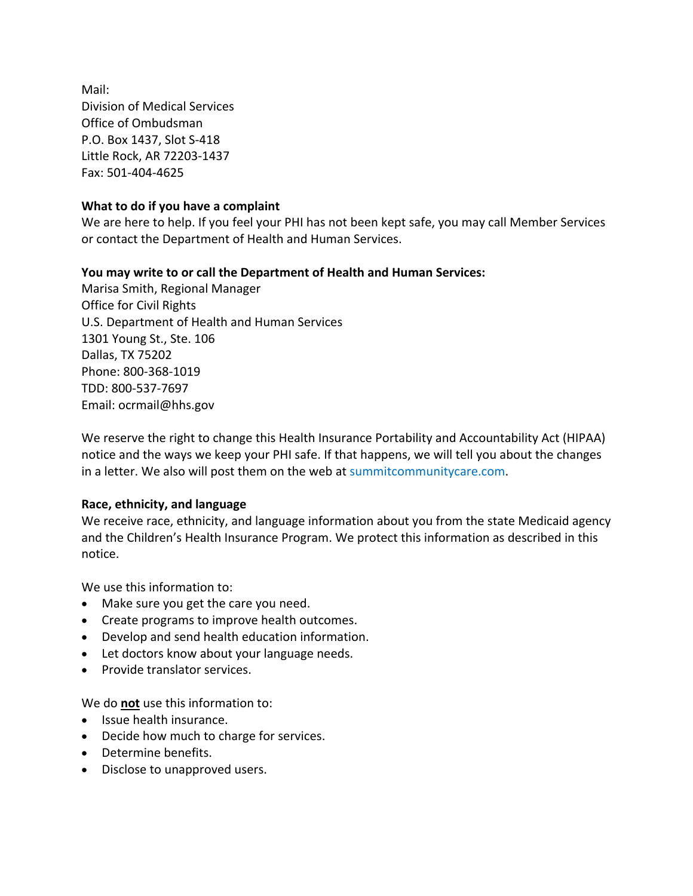Mail: Division of Medical Services Office of Ombudsman P.O. Box 1437, Slot S‐418 Little Rock, AR 72203‐1437 Fax: 501‐404‐4625

#### **What to do if you have a complaint**

We are here to help. If you feel your PHI has not been kept safe, you may call Member Services or contact the Department of Health and Human Services.

#### **You may write to or call the Department of Health and Human Services:**

Marisa Smith, Regional Manager Office for Civil Rights U.S. Department of Health and Human Services 1301 Young St., Ste. 106 Dallas, TX 75202 Phone: 800‐368‐1019 TDD: 800‐537‐7697 Email: [ocrmail@hhs.gov](mailto:ocrmail@hhs.gov)

We reserve the right to change this Health Insurance Portability and Accountability Act (HIPAA) notice and the ways we keep your PHI safe. If that happens, we will tell you about the changes in a letter. We also will post them on the web at [summitcommunitycare.com](http://summitcommunitycare.com).

#### **Race, ethnicity, and language**

We receive race, ethnicity, and language information about you from the state Medicaid agency and the Children's Health Insurance Program. We protect this information as described in this notice.

We use this information to:

- Make sure you get the care you need.
- Create programs to improve health outcomes.
- Develop and send health education information.
- Let doctors know about your language needs.
- Provide translator services.

We do **not** use this information to:

- Issue health insurance.
- Decide how much to charge for services.
- Determine benefits.
- Disclose to unapproved users.